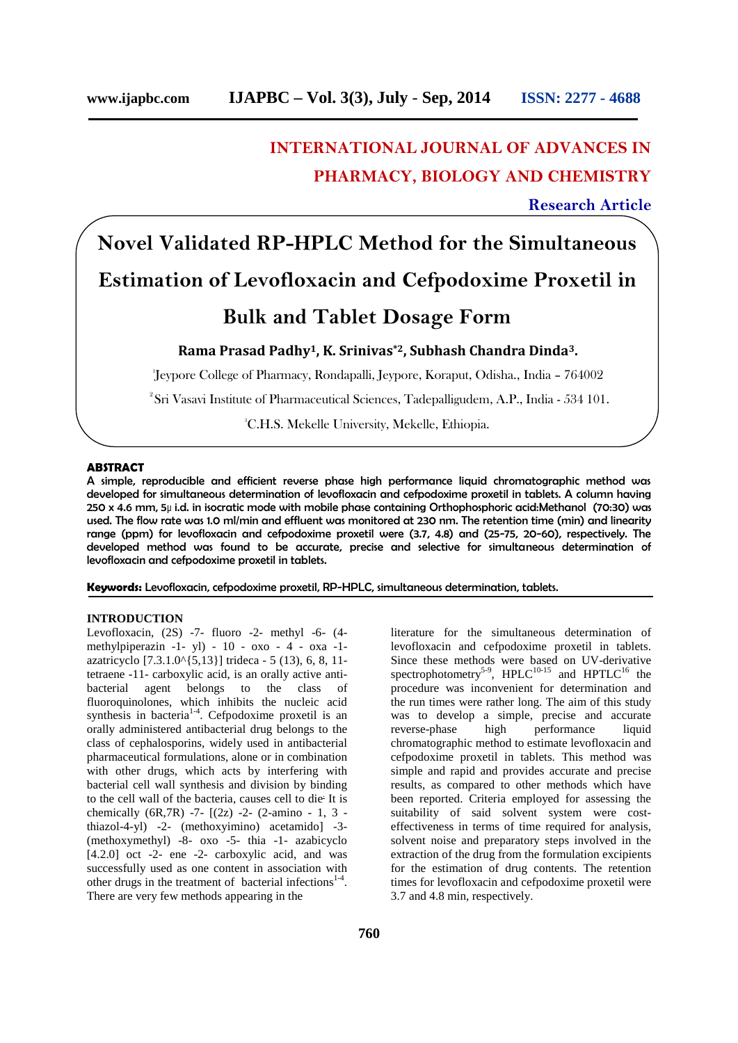# **INTERNATIONAL JOURNAL OF ADVANCES IN PHARMACY, BIOLOGY AND CHEMISTRY**

# **Research Article**

# **Novel Validated RP-HPLC Method for the Simultaneous Estimation of Levofloxacin and Cefpodoxime Proxetil in**

# **Bulk and Tablet Dosage Form**

**Rama Prasad Padhy1, K. Srinivas\*2, Subhash Chandra Dinda3.**

<sup>1</sup>Jeypore College of Pharmacy, Rondapalli, Jeypore, Koraput, Odisha., India – 764002

<sup>2</sup>Sri Vasavi Institute of Pharmaceutical Sciences, Tadepalligudem, A.P., India - 534 101.

<sup>3</sup>C.H.S. Mekelle University, Mekelle, Ethiopia.

## **ABSTRACT**

A simple, reproducible and efficient reverse phase high performance liquid chromatographic method was developed for simultaneous determination of levofloxacin and cefpodoxime proxetil in tablets. A column having 250 x 4.6 mm, 5µ i.d. in isocratic mode with mobile phase containing Orthophosphoric acid:Methanol (70:30) was used. The flow rate was 1.0 ml/min and effluent was monitored at 230 nm. The retention time (min) and linearity range (ppm) for levofloxacin and cefpodoxime proxetil were (3.7, 4.8) and (25-75, 20-60), respectively. The developed method was found to be accurate, precise and selective for simultaneous determination of levofloxacin and cefpodoxime proxetil in tablets.

**Keywords:** Levofloxacin, cefpodoxime proxetil, RP-HPLC, simultaneous determination, tablets.

#### **INTRODUCTION**

Levofloxacin, (2S) -7- fluoro -2- methyl -6- (4 methylpiperazin -1- yl) - 10 - oxo - 4 - oxa -1 azatricyclo [7.3.1.0^{5,13}] trideca - 5 (13), 6, 8, 11 tetraene -11- carboxylic acid, is an orally active anti bacterial agent belongs to the class of fluoroquinolones, which inhibits the nucleic acid synthesis in bacteria<sup>1-4</sup>. Cefpodoxime proxetil is an orally administered antibacterial drug belongs to the class of cephalosporins, widely used in antibacterial pharmaceutical formulations, alone or in combination with other drugs, which acts by interfering with bacterial cell wall synthesis and division by binding to the cell wall of the bacteria, causes cell to die<sup>.</sup> It is chemically  $(6R,7R)$  -7-  $[(2z)$  -2-  $(2\text{-amino} - 1, 3$ thiazol-4-yl) -2- (methoxyimino) acetamido] -3- (methoxymethyl) -8- oxo -5- thia -1- azabicyclo  $[4.2.0]$  oct -2- ene -2- carboxylic acid, and was successfully used as one content in association with other drugs in the treatment of bacterial infections $1-4$ . There are very few methods appearing in the

literature for the simultaneous determination of levofloxacin and cefpodoxime proxetil in tablets. Since these methods were based on UV-derivative spectrophotometry<sup>5-9</sup>, HPLC<sup>10-15</sup> and HPTLC<sup>16</sup> the procedure was inconvenient for determination and the run times were rather long. The aim of this study was to develop a simple, precise and accurate reverse-phase high performance liquid chromatographic method to estimate levofloxacin and cefpodoxime proxetil in tablets. This method was simple and rapid and provides accurate and precise results, as compared to other methods which have been reported. Criteria employed for assessing the suitability of said solvent system were cost effectiveness in terms of time required for analysis, solvent noise and preparatory steps involved in the extraction of the drug from the formulation excipients for the estimation of drug contents. The retention times for levofloxacin and cefpodoxime proxetil were 3.7 and 4.8 min, respectively.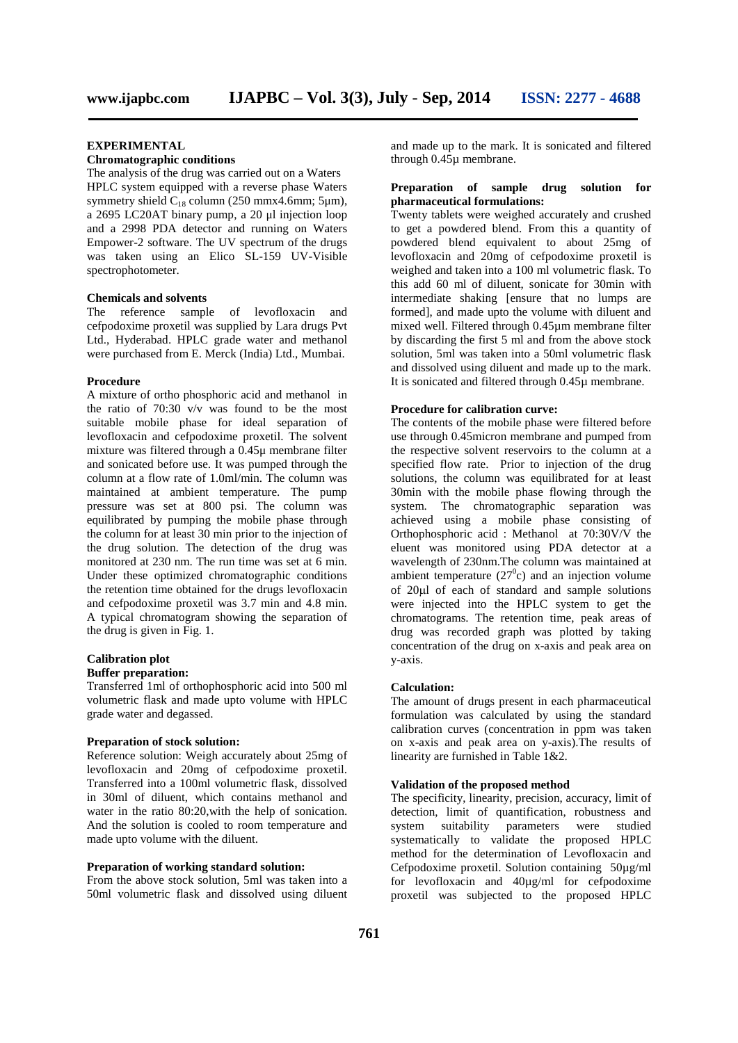## **EXPERIMENTAL**

# **Chromatographic conditions**

The analysis of the drug was carried out on a Waters HPLC system equipped with a reverse phase Waters symmetry shield  $C_{18}$  column (250 mmx4.6mm; 5um), a 2695 LC20AT binary pump, a 20 μl injection loop and a 2998 PDA detector and running on Waters Empower-2 software. The UV spectrum of the drugs was taken using an Elico SL-159 UV-Visible spectrophotometer.

#### **Chemicals and solvents**

The reference sample of levofloxacin and cefpodoxime proxetil was supplied by Lara drugs Pvt Ltd., Hyderabad. HPLC grade water and methanol were purchased from E. Merck (India) Ltd., Mumbai.

#### **Procedure**

A mixture of ortho phosphoric acid and methanol in the ratio of 70:30 v/v was found to be the most suitable mobile phase for ideal separation of levofloxacin and cefpodoxime proxetil. The solvent mixture was filtered through a 0.45μ membrane filter and sonicated before use. It was pumped through the column at a flow rate of 1.0ml/min. The column was maintained at ambient temperature. The pump pressure was set at 800 psi. The column was equilibrated by pumping the mobile phase through the column for at least 30 min prior to the injection of the drug solution. The detection of the drug was monitored at 230 nm. The run time was set at 6 min. Under these optimized chromatographic conditions the retention time obtained for the drugs levofloxacin and cefpodoxime proxetil was 3.7 min and 4.8 min. A typical chromatogram showing the separation of the drug is given in Fig. 1.

# **Calibration plot**

# **Buffer preparation:**

Transferred 1ml of orthophosphoric acid into 500 ml volumetric flask and made upto volume with HPLC grade water and degassed.

#### **Preparation of stock solution:**

Reference solution: Weigh accurately about 25mg of levofloxacin and 20mg of cefpodoxime proxetil. Transferred into a 100ml volumetric flask, dissolved in 30ml of diluent, which contains methanol and water in the ratio 80:20,with the help of sonication. And the solution is cooled to room temperature and system suitability made upto volume with the diluent.

#### **Preparation of working standard solution:**

From the above stock solution, 5ml was taken into a 50ml volumetric flask and dissolved using diluent and made up to the mark. It is sonicated and filtered through 0.45µ membrane.

#### **Preparation of sample drug solution for pharmaceutical formulations:**

Twenty tablets were weighed accurately and crushed to get a powdered blend. From this a quantity of powdered blend equivalent to about 25mg of levofloxacin and 20mg of cefpodoxime proxetil is weighed and taken into a 100 ml volumetric flask. To this add 60 ml of diluent, sonicate for 30min with intermediate shaking [ensure that no lumps are formed], and made upto the volume with diluent and mixed well. Filtered through 0.45µm membrane filter by discarding the first 5 ml and from the above stock solution, 5ml was taken into a 50ml volumetric flask and dissolved using diluent and made up to the mark. It is sonicated and filtered through 0.45µ membrane.

#### **Procedure for calibration curve:**

The contents of the mobile phase were filtered before use through 0.45micron membrane and pumped from the respective solvent reservoirs to the column at a specified flow rate. Prior to injection of the drug solutions, the column was equilibrated for at least 30min with the mobile phase flowing through the system. The chromatographic separation was achieved using a mobile phase consisting of Orthophosphoric acid : Methanol at 70:30V/V the eluent was monitored using PDA detector at a wavelength of 230nm.The column was maintained at ambient temperature  $(27<sup>0</sup>c)$  and an injection volume of 20ul of each of standard and sample solutions were injected into the HPLC system to get the chromatograms. The retention time, peak areas of drug was recorded graph was plotted by taking concentration of the drug on x-axis and peak area on y-axis.

#### **Calculation:**

The amount of drugs present in each pharmaceutical formulation was calculated by using the standard calibration curves (concentration in ppm was taken on x-axis and peak area on y-axis).The results of linearity are furnished in Table 1&2.

#### **Validation of the proposed method**

The specificity, linearity, precision, accuracy, limit of detection, limit of quantification, robustness and parameters were studied systematically to validate the proposed HPLC method for the determination of Levofloxacin and Cefpodoxime proxetil. Solution containing 50µg/ml for levofloxacin and 40µg/ml for cefpodoxime proxetil was subjected to the proposed HPLC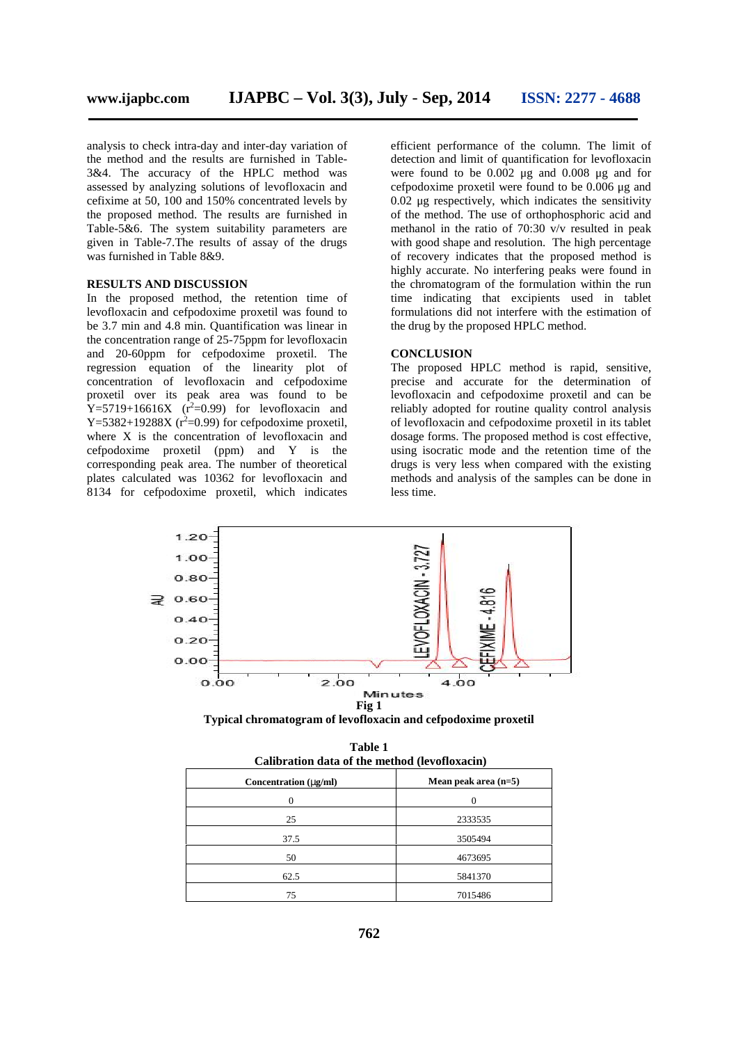analysis to check intra-day and inter-day variation of the method and the results are furnished in Table- 3&4. The accuracy of the HPLC method was assessed by analyzing solutions of levofloxacin and cefixime at 50, 100 and 150% concentrated levels by the proposed method. The results are furnished in Table-5&6. The system suitability parameters are given in Table-7.The results of assay of the drugs was furnished in Table 8&9.

#### **RESULTS AND DISCUSSION**

In the proposed method, the retention time of levofloxacin and cefpodoxime proxetil was found to be 3.7 min and 4.8 min. Quantification was linear in the concentration range of 25-75ppm for levofloxacin and 20-60ppm for cefpodoxime proxetil. The regression equation of the linearity plot of concentration of levofloxacin and cefpodoxime proxetil over its peak area was found to be  $Y=5719+16616X$   $(r^2=0.99)$  for levofloxacin and Y=5382+19288X ( $r^2$ =0.99) for cefpodoxime proxetil, where X is the concentration of levofloxacin and cefpodoxime proxetil (ppm) and Y is the corresponding peak area. The number of theoretical plates calculated was 10362 for levofloxacin and 8134 for cefpodoxime proxetil, which indicates

efficient performance of the column. The limit of detection and limit of quantification for levofloxacin were found to be 0.002 μg and 0.008 μg and for cefpodoxime proxetil were found to be 0.006 μg and 0.02 μg respectively, which indicates the sensitivity of the method. The use of orthophosphoric acid and methanol in the ratio of 70:30 v/v resulted in peak with good shape and resolution. The high percentage of recovery indicates that the proposed method is highly accurate. No interfering peaks were found in the chromatogram of the formulation within the run time indicating that excipients used in tablet formulations did not interfere with the estimation of the drug by the proposed HPLC method.

### **CONCLUSION**

The proposed HPLC method is rapid, sensitive, precise and accurate for the determination of levofloxacin and cefpodoxime proxetil and can be reliably adopted for routine quality control analysis of levofloxacin and cefpodoxime proxetil in its tablet dosage forms. The proposed method is cost effective, using isocratic mode and the retention time of the drugs is very less when compared with the existing methods and analysis of the samples can be done in less time.



**Typical chromatogram of levofloxacin and cefpodoxime proxetil**

| Calibration data of the method (levofloxacin)     |         |  |  |
|---------------------------------------------------|---------|--|--|
| Mean peak area $(n=5)$<br>Concentration $(-g/ml)$ |         |  |  |
|                                                   |         |  |  |
| 25                                                | 2333535 |  |  |
| 37.5                                              | 3505494 |  |  |
| 50                                                | 4673695 |  |  |
| 62.5                                              | 5841370 |  |  |
| 75                                                | 7015486 |  |  |

**Table 1**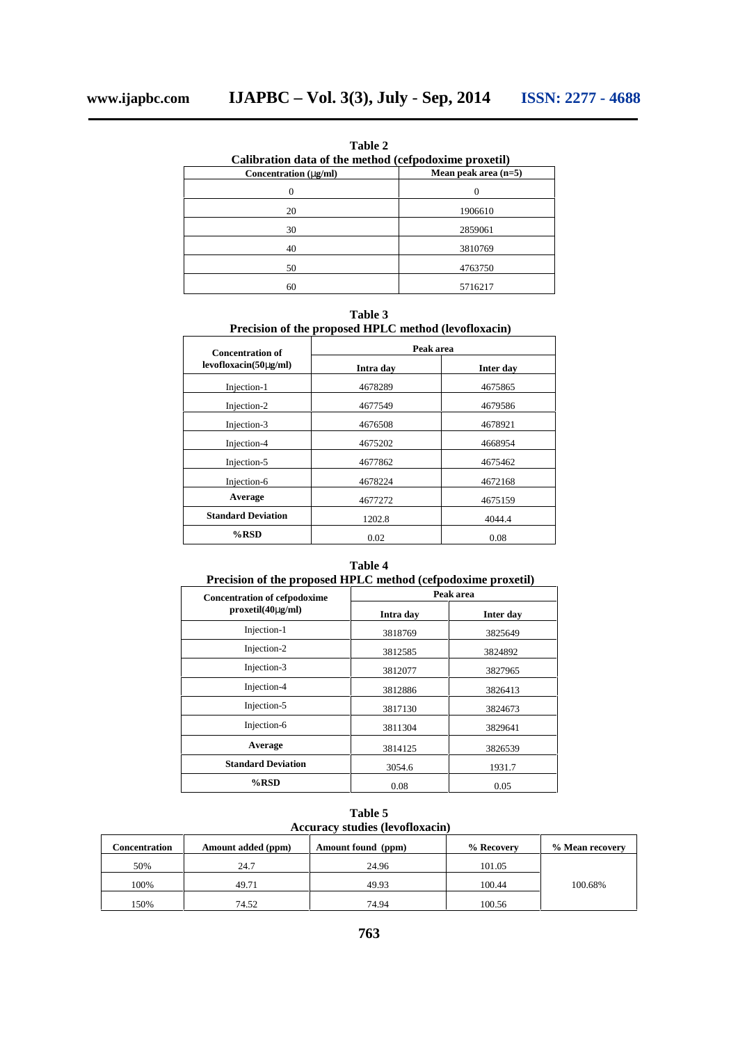**Table 2 Calibration data of the method (cefpodoxime proxetil)**<br>Concentration (~g/ml) Mean peak area (n=5) **Concentration (** $-g/ml$ ) 0 0

| 20 | 1906610 |
|----|---------|
| 30 | 2859061 |
| 40 | 3810769 |
| 50 | 4763750 |
| 60 | 5716217 |

**Table 3 Precision of the proposed HPLC method (levofloxacin)**

| <b>Concentration of</b><br>$levofloxacin(50-g/ml)$ | Peak area |           |
|----------------------------------------------------|-----------|-----------|
|                                                    | Intra day | Inter day |
| Injection-1                                        | 4678289   | 4675865   |
| Injection-2                                        | 4677549   | 4679586   |
| Injection-3                                        | 4676508   | 4678921   |
| Injection-4                                        | 4675202   | 4668954   |
| Injection-5                                        | 4677862   | 4675462   |
| Injection-6                                        | 4678224   | 4672168   |
| Average                                            | 4677272   | 4675159   |
| <b>Standard Deviation</b>                          | 1202.8    | 4044.4    |
| $%$ RSD                                            | 0.02      | 0.08      |

## **Table 4**

**Precision of the proposed HPLC method (cefpodoxime proxetil)**

| <b>Concentration of cefpodoxime</b> |           | Peak area |
|-------------------------------------|-----------|-----------|
| $proxetil(40-g/ml)$                 | Intra day | Inter day |
| Injection-1                         | 3818769   | 3825649   |
| Injection-2                         | 3812585   | 3824892   |
| Injection-3                         | 3812077   | 3827965   |
| Injection-4                         | 3812886   | 3826413   |
| Injection-5                         | 3817130   | 3824673   |
| Injection-6                         | 3811304   | 3829641   |
| Average                             | 3814125   | 3826539   |
| <b>Standard Deviation</b>           | 3054.6    | 1931.7    |
| $%$ RSD                             | 0.08      | 0.05      |

**Table 5 Accuracy studies (levofloxacin)**

| Concentration | Amount added (ppm) | Amount found (ppm) | % Recovery | % Mean recovery |
|---------------|--------------------|--------------------|------------|-----------------|
| 50%           | 24.7               | 24.96              | 101.05     |                 |
| 100%          | 49.71              | 49.93              | 100.44     | 100.68%         |
| 150%          | 74.52              | 74.94              | 100.56     |                 |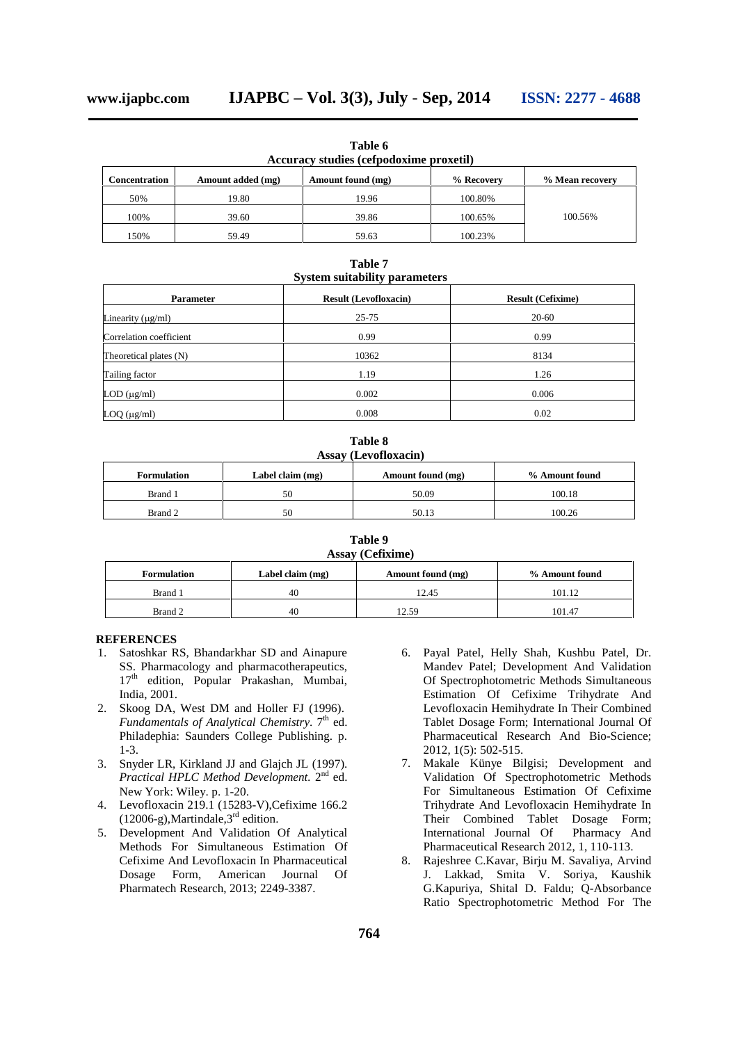**Table 6 Accuracy studies (cefpodoxime proxetil)**

| Concentration | Amount added (mg) | Amount found (mg) | % Recovery | % Mean recovery |
|---------------|-------------------|-------------------|------------|-----------------|
| 50%           | 19.80             | 19.96             | 100.80%    |                 |
| 100%          | 39.60             | 39.86             | 100.65%    | 100.56%         |
| 150%          | 59.49             | 59.63             | 100.23%    |                 |

**Table 7 System suitability parameters**

| <b>Parameter</b>        | <b>Result (Levofloxacin)</b> | <b>Result (Cefixime)</b> |  |  |
|-------------------------|------------------------------|--------------------------|--|--|
| Linearity $(\mu g/ml)$  | $25 - 75$                    | $20 - 60$                |  |  |
| Correlation coefficient | 0.99                         | 0.99                     |  |  |
| Theoretical plates (N)  | 10362                        | 8134                     |  |  |
| Tailing factor          | 1.19                         | 1.26                     |  |  |
| LOD (µg/ml)             | 0.002                        | 0.006                    |  |  |
| $LOQ$ ( $\mu$ g/ml)     | 0.008                        | 0.02                     |  |  |

**Table 8 Assay (Levofloxacin)**

| <b>Formulation</b> | Label claim (mg) | Amount found (mg) | % Amount found |
|--------------------|------------------|-------------------|----------------|
| Brand 1            | 50               | 50.09             | 100.18         |
| Brand 2            | 50               | 50.13             | 100.26         |

**Table 9 Assay (Cefixime)**

| <b>Formulation</b> | Label claim (mg) | Amount found (mg) | % Amount found |
|--------------------|------------------|-------------------|----------------|
| Brand 1            | 40               | 12.45             | 101.12         |
| Brand 2            | 40               | 12.59             | 101.47         |

#### **REFERENCES**

- 1. Satoshkar RS, Bhandarkhar SD and Ainapure SS. Pharmacology and pharmacotherapeutics, 17<sup>th</sup> edition, Popular Prakashan, Mumbai, India, 2001.
- 2. Skoog DA, West DM and Holler FJ (1996). *Fundamentals of Analytical Chemistry.* 7<sup>th</sup> ed. Philadephia: Saunders College Publishing. p. 1-3.
- 3. Snyder LR, Kirkland JJ and Glajch JL (1997). Practical HPLC Method Development. 2<sup>nd</sup> ed. New York: Wiley. p. 1-20.
- 4. Levofloxacin 219.1 (15283-V),Cefixime 166.2  $(12006-g)$ , Martindale, 3<sup>rd</sup> edition.
- 5. Development And Validation Of Analytical Methods For Simultaneous Estimation Of Cefixime And Levofloxacin In Pharmaceutical Dosage Form, American Journal Of Pharmatech Research, 2013; 2249-3387.
- 6. Payal Patel, Helly Shah, Kushbu Patel, Dr. Mandev Patel; Development And Validation Of Spectrophotometric Methods Simultaneous Estimation Of Cefixime Trihydrate And Levofloxacin Hemihydrate In Their Combined Tablet Dosage Form; International Journal Of Pharmaceutical Research And Bio-Science; 2012, 1(5): 502-515.
- 7. Makale Künye Bilgisi; Development and Validation Of Spectrophotometric Methods For Simultaneous Estimation Of Cefixime Trihydrate And Levofloxacin Hemihydrate In Their Combined Tablet Dosage Form; International Journal Of Pharmacy And Pharmaceutical Research 2012, 1, 110-113.
- 8. Rajeshree C.Kavar, Birju M. Savaliya, Arvind J. Lakkad, Smita V. Soriya, Kaushik G.Kapuriya, Shital D. Faldu; Q-Absorbance Ratio Spectrophotometric Method For The